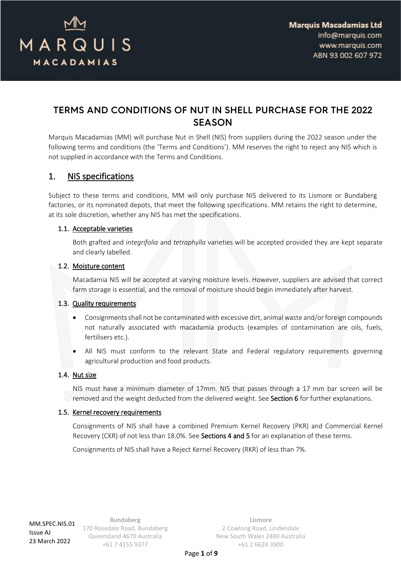

# TERMS AND CONDITIONS OF NUT IN SHELL PURCHASE FOR THE 2022 **SEASON**

Marquis Macadamias (MM) will purchase Nut in Shell (NIS) from suppliers during the 2022 season under the following terms and conditions (the 'Terms and Conditions'). MM reserves the right to reject any NIS which is not supplied in accordance with the Terms and Conditions.

## <span id="page-0-0"></span>1. NIS specifications

Subject to these terms and conditions, MM will only purchase NIS delivered to its Lismore or Bundaberg factories, or its nominated depots, that meet the following specifications. MM retains the right to determine, at its sole discretion, whether any NIS has met the specifications.

#### 1.1. Acceptable varieties

Both grafted and *integrifolia* and *tetraphylla* varieties will be accepted provided they are kept separate and clearly labelled.

#### 1.2. Moisture content

Macadamia NIS will be accepted at varying moisture levels. However, suppliers are advised that correct farm storage is essential, and the removal of moisture should begin immediately after harvest.

#### 1.3. Quality requirements

- Consignments shall not be contaminated with excessive dirt, animal waste and/or foreign compounds not naturally associated with macadamia products (examples of contamination are oils, fuels, fertilisers etc.).
- All NIS must conform to the relevant State and Federal regulatory requirements governing agricultural production and food products.

#### 1.4. Nut size

NIS must have a minimum diameter of 17mm. NIS that passes through a 17 mm bar screen will be removed and the weight deducted from the delivered weight. See Section [6](#page-3-0) for further explanations.

#### 1.5. Kernel recovery requirements

Consignments of NIS shall have a combined Premium Kernel Recovery (PKR) and Commercial Kernel Recovery (CKR) of not less than 18.0%. See Sections [4](#page-2-0) and [5](#page-3-1) for an explanation of these terms.

Consignments of NIS shall have a Reject Kernel Recovery (RKR) of less than 7%.

MM.SPEC.NIS.01 Issue AJ 23 March 2022

**Bundaberg** 170 Rosedale Road, Bundaberg Queensland 4670 Australia +61 7 4155 9377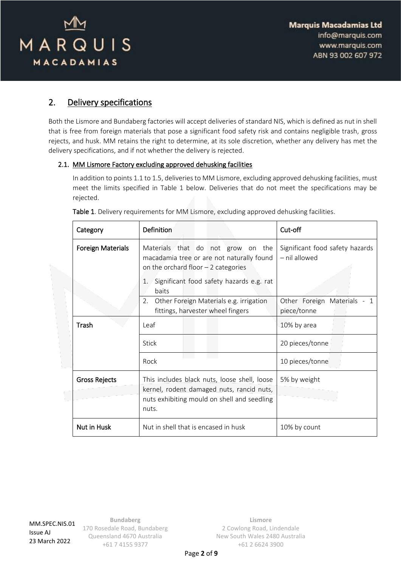

# <span id="page-1-0"></span>2. Delivery specifications

Both the Lismore and Bundaberg factories will accept deliveries of standard NIS, which is defined as nut in shell that is free from foreign materials that pose a significant food safety risk and contains negligible trash, gross rejects, and husk. MM retains the right to determine, at its sole discretion, whether any delivery has met the delivery specifications, and if not whether the delivery is rejected.

#### 2.1. MM Lismore Factory excluding approved dehusking facilities

In addition to points 1.1 to 1.5, deliveries to MM Lismore, excluding approved dehusking facilities, must meet the limits specified in Table 1 below. Deliveries that do not meet the specifications may be rejected.

| Category                 | Definition                                                                                                                                        | Cut-off                                          |
|--------------------------|---------------------------------------------------------------------------------------------------------------------------------------------------|--------------------------------------------------|
| <b>Foreign Materials</b> | Materials that do not grow on the<br>macadamia tree or are not naturally found<br>on the orchard floor $-2$ categories                            | Significant food safety hazards<br>- nil allowed |
|                          | Significant food safety hazards e.g. rat<br>1.<br>baits                                                                                           |                                                  |
|                          | Other Foreign Materials e.g. irrigation<br>2.<br>fittings, harvester wheel fingers                                                                | Other Foreign Materials - 1<br>piece/tonne       |
| Trash                    | Leaf                                                                                                                                              | 10% by area                                      |
|                          | Stick                                                                                                                                             | 20 pieces/tonne                                  |
|                          | Rock                                                                                                                                              | 10 pieces/tonne                                  |
| <b>Gross Rejects</b>     | This includes black nuts, loose shell, loose<br>kernel, rodent damaged nuts, rancid nuts,<br>nuts exhibiting mould on shell and seedling<br>nuts. | 5% by weight                                     |
| Nut in Husk              | Nut in shell that is encased in husk                                                                                                              | 10% by count                                     |

Table 1. Delivery requirements for MM Lismore, excluding approved dehusking facilities.

MM.SPEC.NIS.01 Issue AJ 23 March 2022

**Bundaberg** 170 Rosedale Road, Bundaberg Queensland 4670 Australia +61 7 4155 9377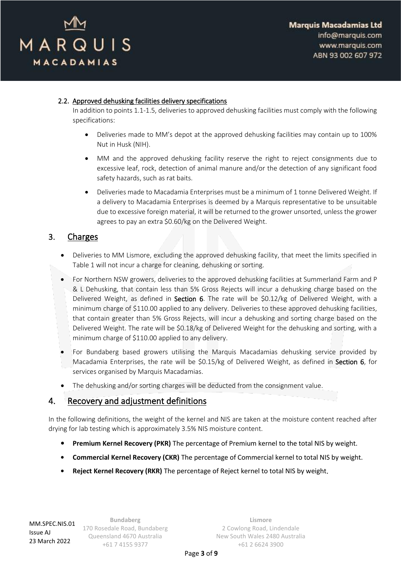

#### 2.2. Approved dehusking facilities delivery specifications

In addition to points 1.1-1.5, deliveries to approved dehusking facilities must comply with the following specifications:

- Deliveries made to MM's depot at the approved dehusking facilities may contain up to 100% Nut in Husk (NIH).
- MM and the approved dehusking facility reserve the right to reject consignments due to excessive leaf, rock, detection of animal manure and/or the detection of any significant food safety hazards, such as rat baits.
- Deliveries made to Macadamia Enterprises must be a minimum of 1 tonne Delivered Weight. If a delivery to Macadamia Enterprises is deemed by a Marquis representative to be unsuitable due to excessive foreign material, it will be returned to the grower unsorted, unless the grower agrees to pay an extra \$0.60/kg on the Delivered Weight.

### 3. Charges

- Deliveries to MM Lismore, excluding the approved dehusking facility, that meet the limits specified in Table 1 will not incur a charge for cleaning, dehusking or sorting.
- For Northern NSW growers, deliveries to the approved dehusking facilities at Summerland Farm and P & L Dehusking, that contain less than 5% Gross Rejects will incur a dehusking charge based on the Delivered Weight, as defined in Section [6.](#page-3-0) The rate will be \$0.12/kg of Delivered Weight, with a minimum charge of \$110.00 applied to any delivery. Deliveries to these approved dehusking facilities, that contain greater than 5% Gross Rejects, will incur a dehusking and sorting charge based on the Delivered Weight. The rate will be \$0.18/kg of Delivered Weight for the dehusking and sorting, with a minimum charge of \$110.00 applied to any delivery.
- For Bundaberg based growers utilising the Marquis Macadamias dehusking service provided by Macadamia Enterprises, the rate will be \$0.15/kg of Delivered Weight, as defined in Section [6,](#page-3-0) for services organised by Marquis Macadamias.
- The dehusking and/or sorting charges will be deducted from the consignment value.

### <span id="page-2-0"></span>4. Recovery and adjustment definitions

In the following definitions, the weight of the kernel and NIS are taken at the moisture content reached after drying for lab testing which is approximately 3.5% NIS moisture content.

- **• Premium Kernel Recovery (PKR)** The percentage of Premium kernel to the total NIS by weight.
- **• Commercial Kernel Recovery (CKR)** The percentage of Commercial kernel to total NIS by weight.
- **• Reject Kernel Recovery (RKR)** The percentage of Reject kernel to total NIS by weight.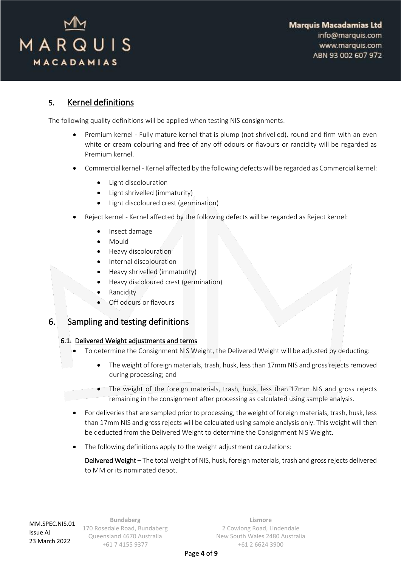

### <span id="page-3-1"></span>5. Kernel definitions

The following quality definitions will be applied when testing NIS consignments.

- Premium kernel Fully mature kernel that is plump (not shrivelled), round and firm with an even white or cream colouring and free of any off odours or flavours or rancidity will be regarded as Premium kernel.
- Commercial kernel Kernel affected by the following defects will be regarded as Commercial kernel:
	- Light discolouration
	- Light shrivelled (immaturity)
	- Light discoloured crest (germination)
- Reject kernel Kernel affected by the following defects will be regarded as Reject kernel:
	- Insect damage
	- Mould
	- Heavy discolouration
	- Internal discolouration
	- Heavy shrivelled (immaturity)
	- Heavy discoloured crest (germination)
	- **Rancidity**
	- Off odours or flavours

## <span id="page-3-0"></span>6. Sampling and testing definitions

#### 6.1. Delivered Weight adjustments and terms

- To determine the Consignment NIS Weight, the Delivered Weight will be adjusted by deducting:
	- The weight of foreign materials, trash, husk, less than 17mm NIS and gross rejects removed during processing; and
	- The weight of the foreign materials, trash, husk, less than 17mm NIS and gross rejects remaining in the consignment after processing as calculated using sample analysis.
- For deliveries that are sampled prior to processing, the weight of foreign materials, trash, husk, less than 17mm NIS and gross rejects will be calculated using sample analysis only. This weight will then be deducted from the Delivered Weight to determine the Consignment NIS Weight.
- The following definitions apply to the weight adjustment calculations:

Delivered Weight – The total weight of NIS, husk, foreign materials, trash and gross rejects delivered to MM or its nominated depot.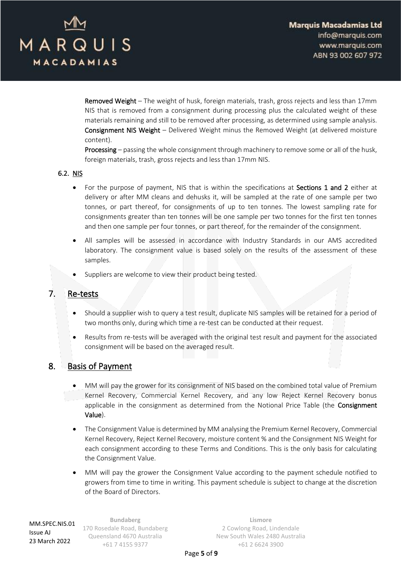

Removed Weight – The weight of husk, foreign materials, trash, gross rejects and less than 17mm NIS that is removed from a consignment during processing plus the calculated weight of these materials remaining and still to be removed after processing, as determined using sample analysis. Consignment NIS Weight – Delivered Weight minus the Removed Weight (at delivered moisture content).

Processing – passing the whole consignment through machinery to remove some or all of the husk, foreign materials, trash, gross rejects and less than 17mm NIS.

#### 6.2. NIS

- For the purpose of payment, NIS that is within the specifications at Sections [1](#page-0-0) and [2](#page-1-0) either at delivery or after MM cleans and dehusks it, will be sampled at the rate of one sample per two tonnes, or part thereof, for consignments of up to ten tonnes. The lowest sampling rate for consignments greater than ten tonnes will be one sample per two tonnes for the first ten tonnes and then one sample per four tonnes, or part thereof, for the remainder of the consignment.
- All samples will be assessed in accordance with Industry Standards in our AMS accredited laboratory. The consignment value is based solely on the results of the assessment of these samples.
- Suppliers are welcome to view their product being tested.

### 7. Re-tests

- Should a supplier wish to query a test result, duplicate NIS samples will be retained for a period of two months only, during which time a re-test can be conducted at their request.
- Results from re-tests will be averaged with the original test result and payment for the associated consignment will be based on the averaged result.

### 8. Basis of Payment

- MM will pay the grower for its consignment of NIS based on the combined total value of Premium Kernel Recovery, Commercial Kernel Recovery, and any low Reject Kernel Recovery bonus applicable in the consignment as determined from the Notional Price Table (the Consignment Value).
- The Consignment Value is determined by MM analysing the Premium Kernel Recovery, Commercial Kernel Recovery, Reject Kernel Recovery, moisture content % and the Consignment NIS Weight for each consignment according to these Terms and Conditions. This is the only basis for calculating the Consignment Value.
- MM will pay the grower the Consignment Value according to the payment schedule notified to growers from time to time in writing. This payment schedule is subject to change at the discretion of the Board of Directors.

**Bundaberg** 170 Rosedale Road, Bundaberg Queensland 4670 Australia +61 7 4155 9377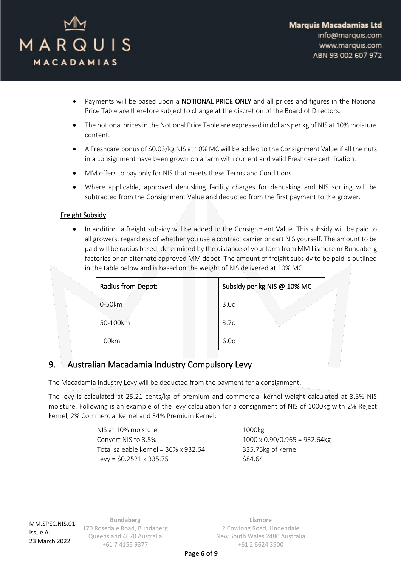

- Payments will be based upon a NOTIONAL PRICE ONLY and all prices and figures in the Notional Price Table are therefore subject to change at the discretion of the Board of Directors.
- The notional prices in the Notional Price Table are expressed in dollars per kg of NIS at 10% moisture content.
- A Freshcare bonus of \$0.03/kg NIS at 10% MC will be added to the Consignment Value if all the nuts in a consignment have been grown on a farm with current and valid Freshcare certification.
- MM offers to pay only for NIS that meets these Terms and Conditions.
- Where applicable, approved dehusking facility charges for dehusking and NIS sorting will be subtracted from the Consignment Value and deducted from the first payment to the grower.

#### Freight Subsidy

• In addition, a freight subsidy will be added to the Consignment Value. This subsidy will be paid to all growers, regardless of whether you use a contract carrier or cart NIS yourself. The amount to be paid will be radius based, determined by the distance of your farm from MM Lismore or Bundaberg factories or an alternate approved MM depot. The amount of freight subsidy to be paid is outlined in the table below and is based on the weight of NIS delivered at 10% MC.

| Radius from Depot: | Subsidy per kg NIS @ 10% MC |
|--------------------|-----------------------------|
| 0-50km             | 3.0 <sub>c</sub>            |
| 50-100km           | 3.7c                        |
| 100km +            | 6.0c                        |

## 9. Australian Macadamia Industry Compulsory Levy

The Macadamia Industry Levy will be deducted from the payment for a consignment.

The levy is calculated at 25.21 cents/kg of premium and commercial kernel weight calculated at 3.5% NIS moisture. Following is an example of the levy calculation for a consignment of NIS of 1000kg with 2% Reject kernel, 2% Commercial Kernel and 34% Premium Kernel:

| NIS at 10% moisture                  | 1000kg                               |
|--------------------------------------|--------------------------------------|
| Convert NIS to 3.5%                  | $1000 \times 0.90/0.965 = 932.64$ kg |
| Total saleable kernel = 36% x 932.64 | 335.75kg of kernel                   |
| Levy = $$0.2521 \times 335.75$       | \$84.64                              |

MM.SPEC.NIS.01 Issue AJ 23 March 2022

**Bundaberg** 170 Rosedale Road, Bundaberg Queensland 4670 Australia +61 7 4155 9377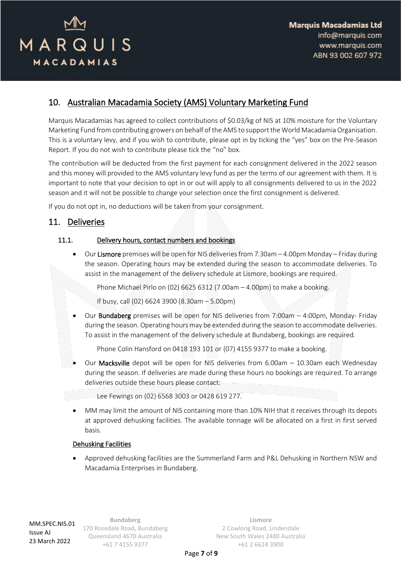

# 10. Australian Macadamia Society (AMS) Voluntary Marketing Fund

Marquis Macadamias has agreed to collect contributions of \$0.03/kg of NIS at 10% moisture for the Voluntary Marketing Fund from contributing growers on behalf of the AMS to support the World Macadamia Organisation. This is a voluntary levy, and if you wish to contribute, please opt in by ticking the "yes" box on the Pre-Season Report. If you do not wish to contribute please tick the "no" box.

The contribution will be deducted from the first payment for each consignment delivered in the 2022 season and this money will provided to the AMS voluntary levy fund as per the terms of our agreement with them. It is important to note that your decision to opt in or out will apply to all consignments delivered to us in the 2022 season and it will not be possible to change your selection once the first consignment is delivered.

If you do not opt in, no deductions will be taken from your consignment.

### 11. Deliveries

#### <span id="page-6-0"></span>11.1. Delivery hours, contact numbers and bookings

• Our Lismore premises will be open for NIS deliveries from 7.30am – 4.00pm Monday – Friday during the season. Operating hours may be extended during the season to accommodate deliveries. To assist in the management of the delivery schedule at Lismore, bookings are required.

Phone Michael Pirlo on (02) 6625 6312 (7.00am – 4.00pm) to make a booking.

If busy, call (02) 6624 3900 (8.30am – 5.00pm)

Our **Bundaberg** premises will be open for NIS deliveries from 7:00am  $-$  4:00pm, Monday- Friday during the season. Operating hours may be extended during the season to accommodate deliveries. To assist in the management of the delivery schedule at Bundaberg, bookings are required.

Phone Colin Hansford on 0418 193 101 or (07) 4155 9377 to make a booking.

Our Macksville depot will be open for NIS deliveries from 6.00am - 10.30am each Wednesday during the season. If deliveries are made during these hours no bookings are required. To arrange deliveries outside these hours please contact:

Lee Fewings on (02) 6568 3003 or 0428 619 277.

• MM may limit the amount of NIS containing more than 10% NIH that it receives through its depots at approved dehusking facilities. The available tonnage will be allocated on a first in first served basis.

#### Dehusking Facilities

• Approved dehusking facilities are the Summerland Farm and P&L Dehusking in Northern NSW and Macadamia Enterprises in Bundaberg.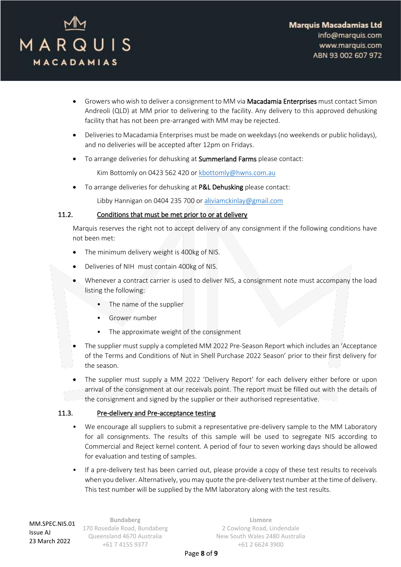

- Growers who wish to deliver a consignment to MM via Macadamia Enterprises must contact Simon Andreoli (QLD) at MM prior to delivering to the facility. Any delivery to this approved dehusking facility that has not been pre-arranged with MM may be rejected.
- Deliveries to Macadamia Enterprises must be made on weekdays (no weekends or public holidays), and no deliveries will be accepted after 12pm on Fridays.
- To arrange deliveries for dehusking at Summerland Farms please contact:

Kim Bottomly on 0423 562 420 or [kbottomly@hwns.com.au](mailto:kbottomly@hwns.com.au)

To arrange deliveries for dehusking at P&L Dehusking please contact:

Libby Hannigan on 0404 235 700 o[r aliviamckinlay@gmail.com](mailto:aliviamckinlay@gmail.com)

#### 11.2. Conditions that must be met prior to or at delivery

Marquis reserves the right not to accept delivery of any consignment if the following conditions have not been met:

- The minimum delivery weight is 400kg of NIS.
- Deliveries of NIH must contain 400kg of NIS.
- Whenever a contract carrier is used to deliver NIS, a consignment note must accompany the load listing the following:
	- The name of the supplier
	- Grower number
	- The approximate weight of the consignment
- The supplier must supply a completed MM 2022 Pre-Season Report which includes an 'Acceptance of the Terms and Conditions of Nut in Shell Purchase 2022 Season' prior to their first delivery for the season.
- The supplier must supply a MM 2022 'Delivery Report' for each delivery either before or upon arrival of the consignment at our receivals point. The report must be filled out with the details of the consignment and signed by the supplier or their authorised representative.

#### 11.3. Pre-delivery and Pre-acceptance testing

- We encourage all suppliers to submit a representative pre-delivery sample to the MM Laboratory for all consignments. The results of this sample will be used to segregate NIS according to Commercial and Reject kernel content. A period of four to seven working days should be allowed for evaluation and testing of samples.
- If a pre-delivery test has been carried out, please provide a copy of these test results to receivals when you deliver. Alternatively, you may quote the pre-delivery test number at the time of delivery. This test number will be supplied by the MM laboratory along with the test results.

**Bundaberg** 170 Rosedale Road, Bundaberg Queensland 4670 Australia +61 7 4155 9377